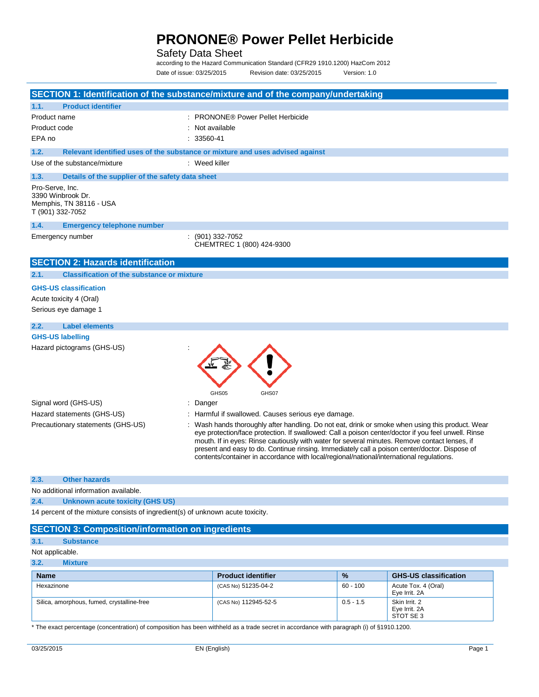#### Safety Data Sheet

according to the Hazard Communication Standard (CFR29 1910.1200) HazCom 2012 Date of issue: 03/25/2015 Revision date: 03/25/2015 Version: 1.0

|                                                                                     | SECTION 1: Identification of the substance/mixture and of the company/undertaking                                                                                                                                                                                                                                                                                                                                                                                                                     |
|-------------------------------------------------------------------------------------|-------------------------------------------------------------------------------------------------------------------------------------------------------------------------------------------------------------------------------------------------------------------------------------------------------------------------------------------------------------------------------------------------------------------------------------------------------------------------------------------------------|
| <b>Product identifier</b><br>1.1.                                                   |                                                                                                                                                                                                                                                                                                                                                                                                                                                                                                       |
| Product name                                                                        | : PRONONE® Power Pellet Herbicide                                                                                                                                                                                                                                                                                                                                                                                                                                                                     |
| Product code                                                                        | : Not available                                                                                                                                                                                                                                                                                                                                                                                                                                                                                       |
| EPA no                                                                              | $: 33560 - 41$                                                                                                                                                                                                                                                                                                                                                                                                                                                                                        |
| 1.2.                                                                                | Relevant identified uses of the substance or mixture and uses advised against                                                                                                                                                                                                                                                                                                                                                                                                                         |
| Use of the substance/mixture                                                        | $:$ Weed killer                                                                                                                                                                                                                                                                                                                                                                                                                                                                                       |
| 1.3.<br>Details of the supplier of the safety data sheet                            |                                                                                                                                                                                                                                                                                                                                                                                                                                                                                                       |
| Pro-Serve, Inc.<br>3390 Winbrook Dr.<br>Memphis, TN 38116 - USA<br>T (901) 332-7052 |                                                                                                                                                                                                                                                                                                                                                                                                                                                                                                       |
| 1.4.<br><b>Emergency telephone number</b>                                           |                                                                                                                                                                                                                                                                                                                                                                                                                                                                                                       |
| Emergency number                                                                    | $: (901)$ 332-7052<br>CHEMTREC 1 (800) 424-9300                                                                                                                                                                                                                                                                                                                                                                                                                                                       |
| <b>SECTION 2: Hazards identification</b>                                            |                                                                                                                                                                                                                                                                                                                                                                                                                                                                                                       |
| <b>Classification of the substance or mixture</b><br>2.1.                           |                                                                                                                                                                                                                                                                                                                                                                                                                                                                                                       |
| <b>GHS-US classification</b>                                                        |                                                                                                                                                                                                                                                                                                                                                                                                                                                                                                       |
| Acute toxicity 4 (Oral)                                                             |                                                                                                                                                                                                                                                                                                                                                                                                                                                                                                       |
| Serious eye damage 1                                                                |                                                                                                                                                                                                                                                                                                                                                                                                                                                                                                       |
| <b>Label elements</b><br>2.2.                                                       |                                                                                                                                                                                                                                                                                                                                                                                                                                                                                                       |
| <b>GHS-US labelling</b>                                                             |                                                                                                                                                                                                                                                                                                                                                                                                                                                                                                       |
| Hazard pictograms (GHS-US)                                                          | GHS05<br>GHS07                                                                                                                                                                                                                                                                                                                                                                                                                                                                                        |
| Signal word (GHS-US)                                                                | : Danger                                                                                                                                                                                                                                                                                                                                                                                                                                                                                              |
| Hazard statements (GHS-US)                                                          | : Harmful if swallowed. Causes serious eye damage.                                                                                                                                                                                                                                                                                                                                                                                                                                                    |
| Precautionary statements (GHS-US)                                                   | : Wash hands thoroughly after handling. Do not eat, drink or smoke when using this product. Wear<br>eye protection/face protection. If swallowed: Call a poison center/doctor if you feel unwell. Rinse<br>mouth. If in eyes: Rinse cautiously with water for several minutes. Remove contact lenses, if<br>present and easy to do. Continue rinsing. Immediately call a poison center/doctor. Dispose of<br>contents/container in accordance with local/regional/national/international regulations. |
| 2.3.<br><b>Other hazards</b>                                                        |                                                                                                                                                                                                                                                                                                                                                                                                                                                                                                       |
| No additional information available.                                                |                                                                                                                                                                                                                                                                                                                                                                                                                                                                                                       |
| 2.4.<br>Unknown acute toxicity (GHS US)                                             |                                                                                                                                                                                                                                                                                                                                                                                                                                                                                                       |
| 14 percent of the mixture consists of ingredient(s) of unknown acute toxicity.      |                                                                                                                                                                                                                                                                                                                                                                                                                                                                                                       |
| <b>SECTION 3: Composition/information on ingredients</b>                            |                                                                                                                                                                                                                                                                                                                                                                                                                                                                                                       |
| <b>Substance</b><br>3.1.                                                            |                                                                                                                                                                                                                                                                                                                                                                                                                                                                                                       |
| Not applicable.                                                                     |                                                                                                                                                                                                                                                                                                                                                                                                                                                                                                       |
| 3.2.<br><b>Mixture</b>                                                              |                                                                                                                                                                                                                                                                                                                                                                                                                                                                                                       |

| <b>Name</b>                                | <b>Product identifier</b> | $\frac{9}{6}$ | <b>GHS-US classification</b>                |
|--------------------------------------------|---------------------------|---------------|---------------------------------------------|
| Hexazinone                                 | (CAS No) 51235-04-2       | 60 - 100      | Acute Tox. 4 (Oral)<br>Eve Irrit, 2A        |
| Silica, amorphous, fumed, crystalline-free | (CAS No) 112945-52-5      | $0.5 - 1.5$   | Skin Irrit. 2<br>Eye Irrit. 2A<br>STOT SE 3 |

\* The exact percentage (concentration) of composition has been withheld as a trade secret in accordance with paragraph (i) of §1910.1200.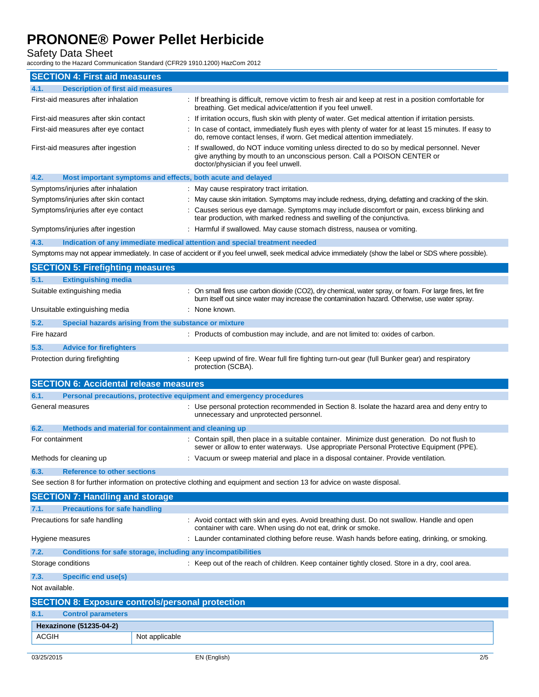Safety Data Sheet

according to the Hazard Communication Standard (CFR29 1910.1200) HazCom 2012

| <b>SECTION 4: First aid measures</b>                                        |                                                                                                                                                                                                                 |  |
|-----------------------------------------------------------------------------|-----------------------------------------------------------------------------------------------------------------------------------------------------------------------------------------------------------------|--|
| <b>Description of first aid measures</b><br>4.1.                            |                                                                                                                                                                                                                 |  |
| First-aid measures after inhalation                                         | : If breathing is difficult, remove victim to fresh air and keep at rest in a position comfortable for<br>breathing. Get medical advice/attention if you feel unwell.                                           |  |
| First-aid measures after skin contact                                       | : If irritation occurs, flush skin with plenty of water. Get medical attention if irritation persists.                                                                                                          |  |
| First-aid measures after eye contact                                        | : In case of contact, immediately flush eyes with plenty of water for at least 15 minutes. If easy to<br>do, remove contact lenses, if worn. Get medical attention immediately.                                 |  |
| First-aid measures after ingestion                                          | : If swallowed, do NOT induce vomiting unless directed to do so by medical personnel. Never<br>give anything by mouth to an unconscious person. Call a POISON CENTER or<br>doctor/physician if you feel unwell. |  |
| 4.2.<br>Most important symptoms and effects, both acute and delayed         |                                                                                                                                                                                                                 |  |
| Symptoms/injuries after inhalation                                          | : May cause respiratory tract irritation.                                                                                                                                                                       |  |
| Symptoms/injuries after skin contact                                        | : May cause skin irritation. Symptoms may include redness, drying, defatting and cracking of the skin.                                                                                                          |  |
| Symptoms/injuries after eye contact                                         | : Causes serious eye damage. Symptoms may include discomfort or pain, excess blinking and<br>tear production, with marked redness and swelling of the conjunctiva.                                              |  |
| Symptoms/injuries after ingestion                                           | : Harmful if swallowed. May cause stomach distress, nausea or vomiting.                                                                                                                                         |  |
| 4.3.                                                                        | Indication of any immediate medical attention and special treatment needed                                                                                                                                      |  |
|                                                                             | Symptoms may not appear immediately. In case of accident or if you feel unwell, seek medical advice immediately (show the label or SDS where possible).                                                         |  |
| <b>SECTION 5: Firefighting measures</b>                                     |                                                                                                                                                                                                                 |  |
| <b>Extinguishing media</b><br>5.1.                                          |                                                                                                                                                                                                                 |  |
| Suitable extinguishing media                                                | : On small fires use carbon dioxide (CO2), dry chemical, water spray, or foam. For large fires, let fire                                                                                                        |  |
| Unsuitable extinguishing media                                              | burn itself out since water may increase the contamination hazard. Otherwise, use water spray.<br>: None known.                                                                                                 |  |
|                                                                             |                                                                                                                                                                                                                 |  |
| 5.2.<br>Special hazards arising from the substance or mixture               |                                                                                                                                                                                                                 |  |
| Fire hazard                                                                 | : Products of combustion may include, and are not limited to: oxides of carbon.                                                                                                                                 |  |
| 5.3.<br><b>Advice for firefighters</b>                                      |                                                                                                                                                                                                                 |  |
| Protection during firefighting                                              | : Keep upwind of fire. Wear full fire fighting turn-out gear (full Bunker gear) and respiratory<br>protection (SCBA).                                                                                           |  |
| <b>SECTION 6: Accidental release measures</b>                               |                                                                                                                                                                                                                 |  |
| 6.1.<br>Personal precautions, protective equipment and emergency procedures |                                                                                                                                                                                                                 |  |
| General measures                                                            | : Use personal protection recommended in Section 8. Isolate the hazard area and deny entry to<br>unnecessary and unprotected personnel.                                                                         |  |
| 6.2.<br>Methods and material for containment and cleaning up                |                                                                                                                                                                                                                 |  |
| For containment                                                             | : Contain spill, then place in a suitable container. Minimize dust generation. Do not flush to<br>sewer or allow to enter waterways. Use appropriate Personal Protective Equipment (PPE).                       |  |
| Methods for cleaning up                                                     | : Vacuum or sweep material and place in a disposal container. Provide ventilation.                                                                                                                              |  |
| 6.3.<br><b>Reference to other sections</b>                                  |                                                                                                                                                                                                                 |  |
|                                                                             | See section 8 for further information on protective clothing and equipment and section 13 for advice on waste disposal.                                                                                         |  |
| <b>SECTION 7: Handling and storage</b>                                      |                                                                                                                                                                                                                 |  |
| <b>Precautions for safe handling</b><br>7.1.                                |                                                                                                                                                                                                                 |  |
| Precautions for safe handling                                               | : Avoid contact with skin and eyes. Avoid breathing dust. Do not swallow. Handle and open                                                                                                                       |  |
|                                                                             | container with care. When using do not eat, drink or smoke.                                                                                                                                                     |  |
| Hygiene measures                                                            | : Launder contaminated clothing before reuse. Wash hands before eating, drinking, or smoking.                                                                                                                   |  |
| 7.2.<br>Conditions for safe storage, including any incompatibilities        |                                                                                                                                                                                                                 |  |
| Storage conditions                                                          | : Keep out of the reach of children. Keep container tightly closed. Store in a dry, cool area.                                                                                                                  |  |
| 7.3.<br><b>Specific end use(s)</b>                                          |                                                                                                                                                                                                                 |  |
| Not available.                                                              |                                                                                                                                                                                                                 |  |
| <b>SECTION 8: Exposure controls/personal protection</b>                     |                                                                                                                                                                                                                 |  |
| <b>Control parameters</b><br>8.1.                                           |                                                                                                                                                                                                                 |  |
| Hexazinone (51235-04-2)                                                     |                                                                                                                                                                                                                 |  |
| <b>ACGIH</b><br>Not applicable                                              |                                                                                                                                                                                                                 |  |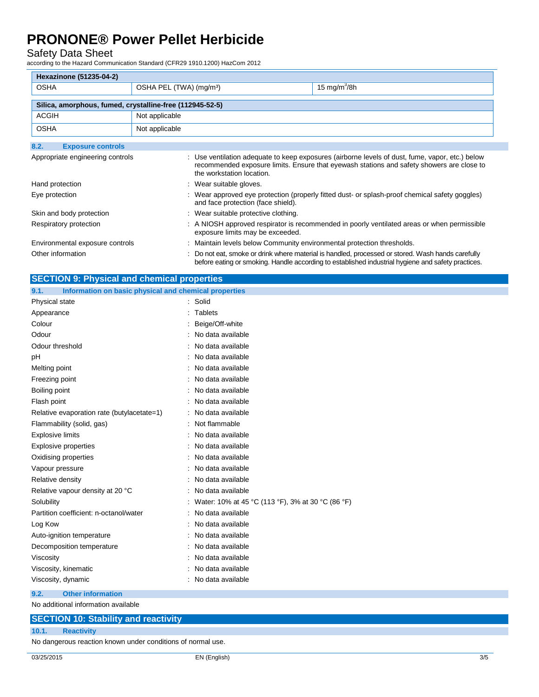#### Safety Data Sheet

according to the Hazard Communication Standard (CFR29 1910.1200) HazCom 2012

| <b>Hexazinone (51235-04-2)</b>                           |                                     |                                                                        |                                                                                                                                                                                                         |
|----------------------------------------------------------|-------------------------------------|------------------------------------------------------------------------|---------------------------------------------------------------------------------------------------------------------------------------------------------------------------------------------------------|
| <b>OSHA</b>                                              | OSHA PEL (TWA) (mg/m <sup>3</sup> ) |                                                                        | 15 mg/m $3/8h$                                                                                                                                                                                          |
| Silica, amorphous, fumed, crystalline-free (112945-52-5) |                                     |                                                                        |                                                                                                                                                                                                         |
|                                                          |                                     |                                                                        |                                                                                                                                                                                                         |
| <b>ACGIH</b>                                             | Not applicable                      |                                                                        |                                                                                                                                                                                                         |
| <b>OSHA</b>                                              | Not applicable                      |                                                                        |                                                                                                                                                                                                         |
| 8.2.<br><b>Exposure controls</b>                         |                                     |                                                                        |                                                                                                                                                                                                         |
| Appropriate engineering controls                         |                                     | the workstation location.                                              | : Use ventilation adequate to keep exposures (airborne levels of dust, fume, vapor, etc.) below<br>recommended exposure limits. Ensure that eyewash stations and safety showers are close to            |
| Hand protection                                          |                                     | : Wear suitable gloves.                                                |                                                                                                                                                                                                         |
| Eye protection                                           |                                     | and face protection (face shield).                                     | : Wear approved eye protection (properly fitted dust- or splash-proof chemical safety goggles)                                                                                                          |
| Skin and body protection                                 |                                     | : Wear suitable protective clothing.                                   |                                                                                                                                                                                                         |
| Respiratory protection                                   |                                     | exposure limits may be exceeded.                                       | : A NIOSH approved respirator is recommended in poorly ventilated areas or when permissible                                                                                                             |
| Environmental exposure controls                          |                                     | : Maintain levels below Community environmental protection thresholds. |                                                                                                                                                                                                         |
| Other information                                        |                                     |                                                                        | : Do not eat, smoke or drink where material is handled, processed or stored. Wash hands carefully<br>before eating or smoking. Handle according to established industrial hygiene and safety practices. |

| <b>SECTION 9: Physical and chemical properties</b> |  |
|----------------------------------------------------|--|
|----------------------------------------------------|--|

| Information on basic physical and chemical properties<br>9.1. |                                                   |
|---------------------------------------------------------------|---------------------------------------------------|
| Physical state                                                | : Solid                                           |
| Appearance                                                    | Tablets                                           |
| Colour                                                        | Beige/Off-white                                   |
| Odour                                                         | No data available                                 |
| Odour threshold                                               | No data available                                 |
| рH                                                            | No data available                                 |
| Melting point                                                 | No data available                                 |
| Freezing point                                                | No data available                                 |
| Boiling point                                                 | No data available                                 |
| Flash point                                                   | No data available                                 |
| Relative evaporation rate (butylacetate=1)                    | No data available                                 |
| Flammability (solid, gas)                                     | Not flammable                                     |
| <b>Explosive limits</b>                                       | No data available                                 |
| <b>Explosive properties</b>                                   | No data available                                 |
| Oxidising properties                                          | No data available                                 |
| Vapour pressure                                               | No data available                                 |
| Relative density                                              | No data available                                 |
| Relative vapour density at 20 °C                              | No data available                                 |
| Solubility                                                    | Water: 10% at 45 °C (113 °F), 3% at 30 °C (86 °F) |
| Partition coefficient: n-octanol/water                        | No data available                                 |
| Log Kow                                                       | No data available                                 |
| Auto-ignition temperature                                     | No data available                                 |
| Decomposition temperature                                     | No data available                                 |
| Viscosity                                                     | No data available                                 |
| Viscosity, kinematic                                          | No data available                                 |
| Viscosity, dynamic                                            | No data available                                 |
| 9.2.<br><b>Other information</b>                              |                                                   |

No additional information available

### **SECTION 10: Stability and reactivity**

**10.1. Reactivity**

No dangerous reaction known under conditions of normal use.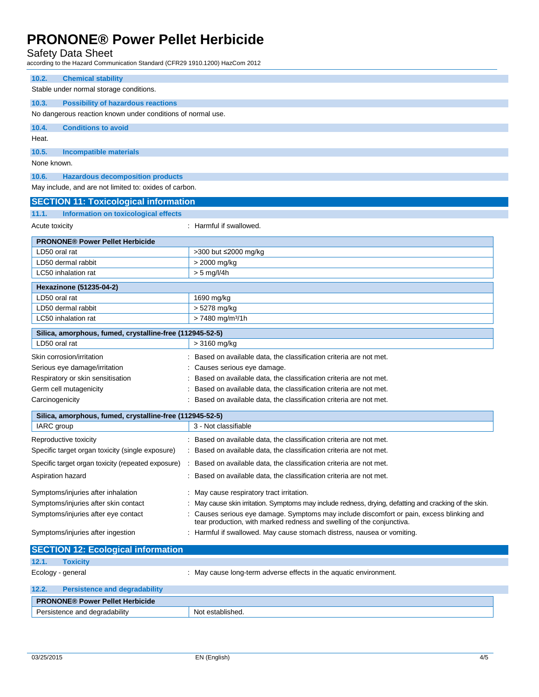Safety Data Sheet

according to the Hazard Communication Standard (CFR29 1910.1200) HazCom 2012

| iccording to the Hazard Communication Standard (CFR29 1910.1200) HazCom 2012 |                                                                                                                                                                  |  |
|------------------------------------------------------------------------------|------------------------------------------------------------------------------------------------------------------------------------------------------------------|--|
| 10.2.<br><b>Chemical stability</b>                                           |                                                                                                                                                                  |  |
| Stable under normal storage conditions.                                      |                                                                                                                                                                  |  |
| 10.3.<br><b>Possibility of hazardous reactions</b>                           |                                                                                                                                                                  |  |
| No dangerous reaction known under conditions of normal use.                  |                                                                                                                                                                  |  |
| 10.4.<br><b>Conditions to avoid</b>                                          |                                                                                                                                                                  |  |
| Heat.                                                                        |                                                                                                                                                                  |  |
| 10.5.<br>Incompatible materials                                              |                                                                                                                                                                  |  |
| None known.                                                                  |                                                                                                                                                                  |  |
| 10.6.<br><b>Hazardous decomposition products</b>                             |                                                                                                                                                                  |  |
| May include, and are not limited to: oxides of carbon.                       |                                                                                                                                                                  |  |
| <b>SECTION 11: Toxicological information</b>                                 |                                                                                                                                                                  |  |
| 11.1.<br><b>Information on toxicological effects</b>                         |                                                                                                                                                                  |  |
| Acute toxicity                                                               | : Harmful if swallowed.                                                                                                                                          |  |
| <b>PRONONE® Power Pellet Herbicide</b>                                       |                                                                                                                                                                  |  |
| LD50 oral rat                                                                | >300 but ≤2000 mg/kg                                                                                                                                             |  |
| LD50 dermal rabbit                                                           | > 2000 mg/kg                                                                                                                                                     |  |
| LC50 inhalation rat                                                          | $> 5$ mg/l/4h                                                                                                                                                    |  |
| <b>Hexazinone (51235-04-2)</b>                                               |                                                                                                                                                                  |  |
| LD50 oral rat                                                                | 1690 mg/kg                                                                                                                                                       |  |
| LD50 dermal rabbit<br>LC50 inhalation rat                                    | > 5278 mg/kg<br>> 7480 mg/m <sup>3</sup> /1h                                                                                                                     |  |
|                                                                              |                                                                                                                                                                  |  |
| Silica, amorphous, fumed, crystalline-free (112945-52-5)<br>LD50 oral rat    | > 3160 mg/kg                                                                                                                                                     |  |
|                                                                              | Based on available data, the classification criteria are not met.                                                                                                |  |
| Skin corrosion/irritation<br>Serious eye damage/irritation                   | Causes serious eye damage.                                                                                                                                       |  |
| Respiratory or skin sensitisation                                            | Based on available data, the classification criteria are not met.                                                                                                |  |
| Germ cell mutagenicity                                                       | Based on available data, the classification criteria are not met.                                                                                                |  |
| Carcinogenicity                                                              | Based on available data, the classification criteria are not met.                                                                                                |  |
| Silica, amorphous, fumed, crystalline-free (112945-52-5)                     |                                                                                                                                                                  |  |
| IARC group                                                                   | 3 - Not classifiable                                                                                                                                             |  |
| Reproductive toxicity                                                        | Based on available data, the classification criteria are not met.                                                                                                |  |
| Specific target organ toxicity (single exposure)                             | Based on available data, the classification criteria are not met.                                                                                                |  |
| Specific target organ toxicity (repeated exposure)                           | : Based on available data, the classification criteria are not met.                                                                                              |  |
| Aspiration hazard                                                            | Based on available data, the classification criteria are not met.                                                                                                |  |
| Symptoms/injuries after inhalation                                           | : May cause respiratory tract irritation.                                                                                                                        |  |
| Symptoms/injuries after skin contact                                         | May cause skin irritation. Symptoms may include redness, drying, defatting and cracking of the skin.                                                             |  |
| Symptoms/injuries after eye contact                                          | Causes serious eye damage. Symptoms may include discomfort or pain, excess blinking and<br>tear production, with marked redness and swelling of the conjunctiva. |  |
| Symptoms/injuries after ingestion                                            | : Harmful if swallowed. May cause stomach distress, nausea or vomiting.                                                                                          |  |
| <b>SECTION 12: Ecological information</b>                                    |                                                                                                                                                                  |  |
| <b>Toxicity</b><br>12.1.                                                     |                                                                                                                                                                  |  |
| Ecology - general                                                            | : May cause long-term adverse effects in the aquatic environment.                                                                                                |  |
| 12.2.<br><b>Persistence and degradability</b>                                |                                                                                                                                                                  |  |
| <b>DRONONES RAILL</b>                                                        |                                                                                                                                                                  |  |